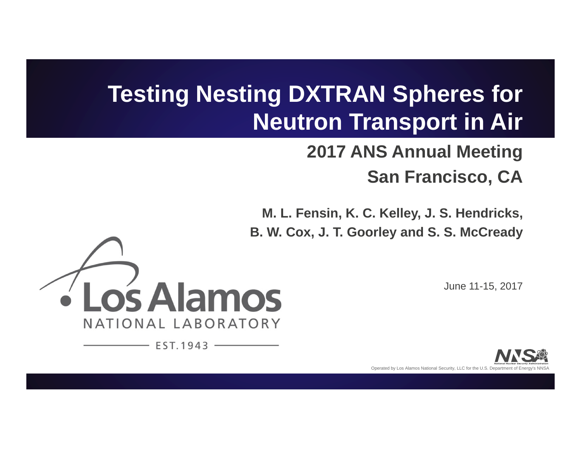# **Testing Nesting DXTRAN Spheres for Neutron Transport in Air**

# **2017 ANS Annual Meeting San Francisco, CA**

**M. L. Fensin, K. C. Kelley, J. S. Hendricks, B. W. Cox, J. T. Goorley and S. S. McCready**



 $EST.1943 -$ 

June 11-15, 2017

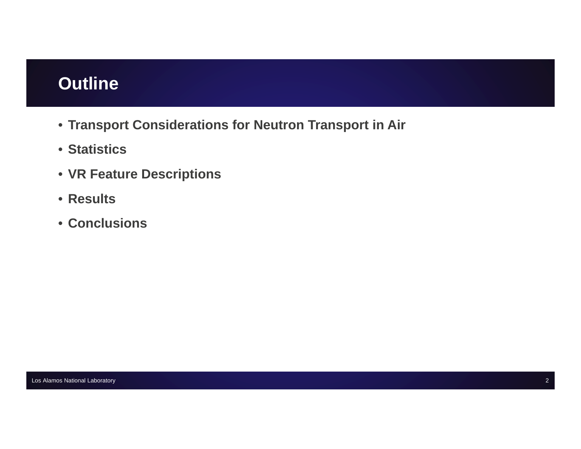# **Outline**

- **Transport Considerations for Neutron Transport in Air**
- **Statistics**
- **VR Feature Descriptions**
- **Results**
- **Conclusions**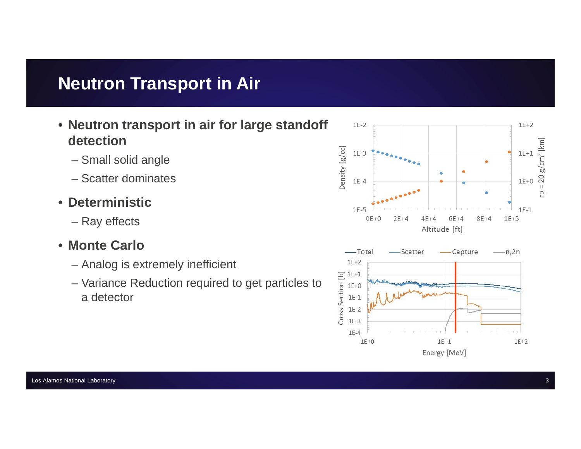# **Neutron Transport in Air**

- **Neutron transport in air for large standoff detection**
	- Small solid angle
	- Scatter dominates
- **Deterministic**
	- Ray effects
- **Monte Carlo**
	- Analog is extremely inefficient
	- Variance Reduction required to get particles to a detector

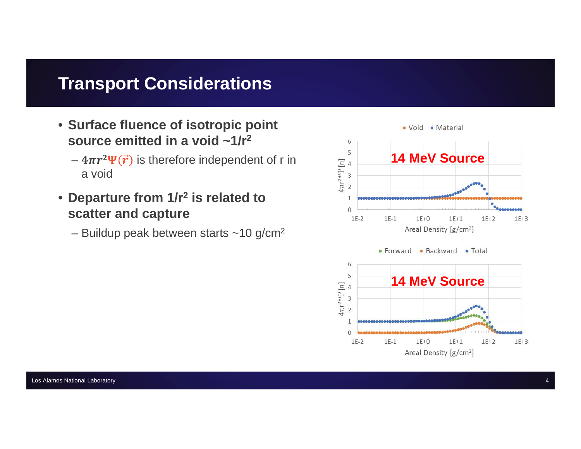### **Transport Considerations**

- **Surface fluence of isotropic point source emitted in a void ~1/r 2**
	- $-$  4 $\pi r^2 \Psi(\vec{r})$  is therefore independent of r in a void
- **Departure from 1/r 2 is related to scatter and capture**
	- Buildup peak between starts ~10 g/cm $^{\rm 2}$

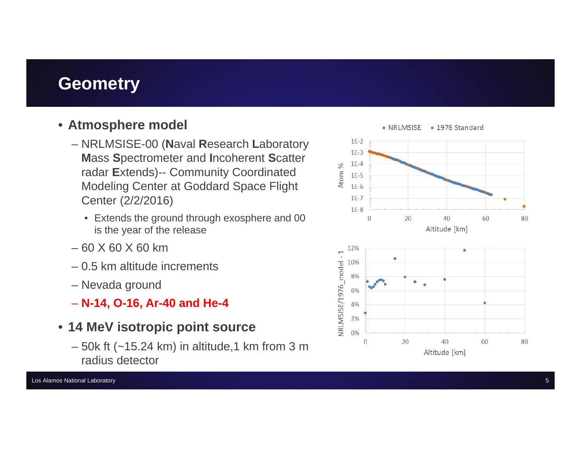### **Geometry**

#### • **Atmosphere model**

- NRLMSISE-00 (**N**aval **R**esearch **L**aboratory **M**ass **S**pectrometer and **I**ncoherent **S**catter radar **E**xtends)-- Community Coordinated Modeling Center at Goddard Space Flight Center (2/2/2016)
	- Extends the ground through exosphere and 00 is the year of the release
- 60 X 60 X 60 km
- 0.5 km altitude increments
- Nevada ground
- **N-14, O-16, Ar-40 and He-4**
- **14 MeV isotropic point source**
	- 50k ft (~15.24 km) in altitude,1 km from 3 m radius detector

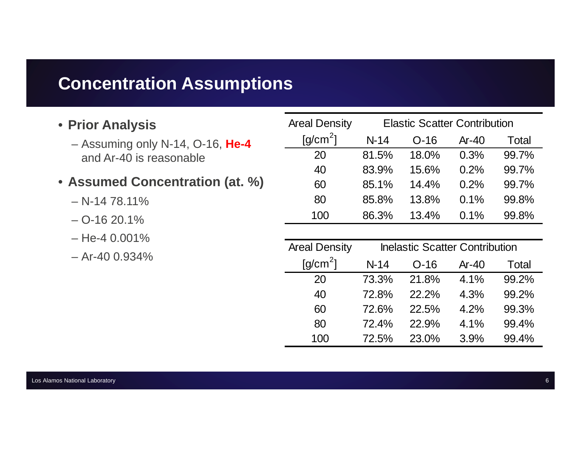### **Concentration Assumptions**

#### • **Prior Analysis**

- Assuming only N-14, O-16, **He-4** and Ar-40 is reasonable
- **Assumed Concentration (at. %)**
	- N-14 78.11%
	- O-16 20.1%
	- He-4 0.001%
	- Ar-40 0.934%

| <b>Areal Density</b>          |        | <b>Elastic Scatter Contribution</b> |         |       |
|-------------------------------|--------|-------------------------------------|---------|-------|
| $\left[\frac{q}{cm^2}\right]$ | $N-14$ | $O-16$                              | $Ar-40$ | Total |
| 20                            | 81.5%  | 18.0%                               | 0.3%    | 99.7% |
| 40                            | 83.9%  | 15.6%                               | 0.2%    | 99.7% |
| 60                            | 85.1%  | 14.4%                               | 0.2%    | 99.7% |
| 80                            | 85.8%  | 13.8%                               | 0.1%    | 99.8% |
| 100                           | 86.3%  | 13.4%                               | 0.1%    | 99.8% |

| <b>Areal Density</b> | <b>Inelastic Scatter Contribution</b> |        |         |       |  |
|----------------------|---------------------------------------|--------|---------|-------|--|
| $[g/cm^2]$           | $N-14$                                | $O-16$ | $Ar-40$ | Total |  |
| 20                   | 73.3%                                 | 21.8%  | 4.1%    | 99.2% |  |
| 40                   | 72.8%                                 | 22.2%  | 4.3%    | 99.2% |  |
| 60                   | 72.6%                                 | 22.5%  | 4.2%    | 99.3% |  |
| 80                   | 72.4%                                 | 22.9%  | 4.1%    | 99.4% |  |
| 100                  | 72.5%                                 | 23.0%  | 3.9%    | 99.4% |  |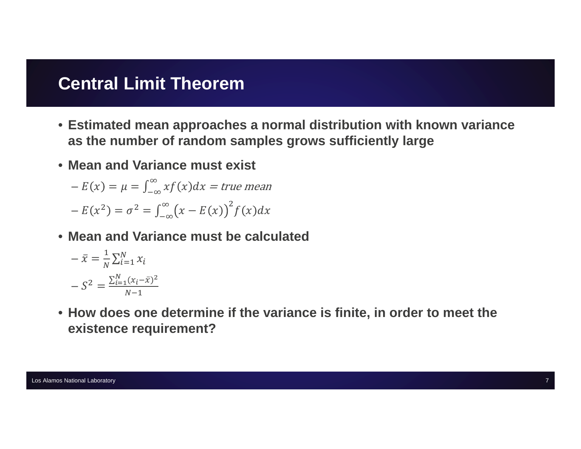### **Central Limit Theorem**

- Estimated mean approaches a normal distribution with known variance as the number of random samples grows sufficiently large
- Mean and Variance must exist

 $-E(x) = \mu = \int_{-\infty}^{\infty} x f(x) dx = true$  mean  $-E(x^2) = \sigma^2 = \int_{-\infty}^{\infty} (x - E(x))^2 f(x) dx$ 

• Mean and Variance must be calculated

$$
-\bar{x} = \frac{1}{N} \sum_{i=1}^{N} x_i
$$

$$
-S^2 = \frac{\sum_{i=1}^{N} (x_i - \bar{x})^2}{N - 1}
$$

. How does one determine if the variance is finite, in order to meet the existence requirement?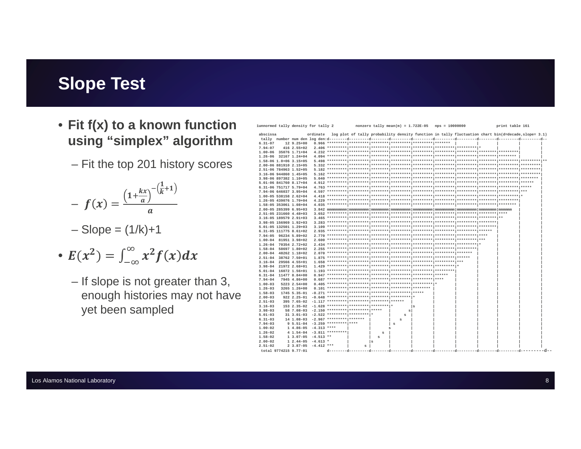# **Slope Test**

- Fit f(x) to a known function using "simplex" algorithm
	- Fit the top 201 history scores

$$
- f(x) = \frac{\left(1 + \frac{kx}{a}\right)^{-\left(\frac{1}{k} + 1\right)}}{a}
$$

- $-Slope = (1/k)+1$
- $E(x^2) = \int_{-\infty}^{\infty} x^2 f(x) dx$ 
	- If slope is not greater than 3, enough histories may not have yet been sampled

lunnormed tally density for tally 2

nonzero tally mean(m) =  $1.722E-05$  nps = 10000000

print table 161

| abscissa                     |                                 | ordinate log plot of tally probability density function in tally fluctuation chart bin(d=decade, slope= 3.1) |     |   |   |  |  |  |
|------------------------------|---------------------------------|--------------------------------------------------------------------------------------------------------------|-----|---|---|--|--|--|
|                              |                                 |                                                                                                              |     |   |   |  |  |  |
| $6.31 - 07$                  | $129.25+00$                     |                                                                                                              |     |   |   |  |  |  |
| $7.94 - 07$                  | 416 2.55+02                     |                                                                                                              |     |   |   |  |  |  |
| $1.00 - 06$<br>35076 1.71+04 |                                 |                                                                                                              |     |   |   |  |  |  |
| 1.26-06 32167 1.24+04        |                                 |                                                                                                              |     |   |   |  |  |  |
| 1.58-06 1.0+06 3.15+05       |                                 |                                                                                                              |     |   |   |  |  |  |
| 2.00-06 881910 2.15+05       |                                 |                                                                                                              |     |   |   |  |  |  |
| 2.51-06 784963 1.52+05       |                                 |                                                                                                              |     |   |   |  |  |  |
| 3.16-06 944860 1.45+05       |                                 |                                                                                                              |     |   |   |  |  |  |
| 3.98-06 897382 1.10+05       |                                 |                                                                                                              |     |   |   |  |  |  |
| 5.01-06 841760 8.17+04       |                                 |                                                                                                              |     |   |   |  |  |  |
| 6.31-06 751717 5.79+04       |                                 |                                                                                                              |     |   |   |  |  |  |
|                              |                                 |                                                                                                              |     |   |   |  |  |  |
| 7.94-06 646037 3.95+04       |                                 |                                                                                                              |     |   |   |  |  |  |
| 1.00-05 538158 2.62+04       |                                 |                                                                                                              |     |   |   |  |  |  |
| 1.26-05 439076 1.70+04       |                                 |                                                                                                              |     |   |   |  |  |  |
| 1.58-05 353061 1.08+04       |                                 |                                                                                                              |     |   |   |  |  |  |
| 2.00-05 285399 6.95+03       |                                 |                                                                                                              |     |   |   |  |  |  |
| 2.51-05 231660 4.48+03       |                                 |                                                                                                              |     |   |   |  |  |  |
| 3.16-05 189579 2.91+03       |                                 |                                                                                                              |     |   |   |  |  |  |
| 3.98-05 156969 1.92+03       |                                 |                                                                                                              |     |   |   |  |  |  |
| 5.01-05 132501 1.29+03       |                                 |                                                                                                              |     |   |   |  |  |  |
| 6.31-05 111775 8.61+02       |                                 |                                                                                                              |     |   |   |  |  |  |
| 7.94-05 96234 5.89+02        |                                 |                                                                                                              |     |   |   |  |  |  |
| 1.00-04 81951 3.98+02        |                                 |                                                                                                              |     |   |   |  |  |  |
| 1.26-04 70354 2.72+02        |                                 |                                                                                                              |     |   |   |  |  |  |
| 1.58-04 58697 1.80+02        |                                 |                                                                                                              |     |   |   |  |  |  |
| 2.00-04 48262 1.18+02        |                                 |                                                                                                              |     |   |   |  |  |  |
| 38762 7.50+01<br>$2.51 - 04$ |                                 |                                                                                                              |     |   |   |  |  |  |
| 3.16-04 29566 4.55+01        |                                 |                                                                                                              |     |   |   |  |  |  |
| 3.98-04 21972 2.68+01        |                                 |                                                                                                              |     |   |   |  |  |  |
| 5.01-04 16072 1.56+01        |                                 |                                                                                                              |     |   |   |  |  |  |
| 6.31-04 11477 8.84+00        |                                 |                                                                                                              |     |   |   |  |  |  |
| $7.94 - 04$                  | 7945 4.86+00                    |                                                                                                              |     |   |   |  |  |  |
| $1.00 - 03$                  | 5223 2.54+00                    |                                                                                                              |     |   |   |  |  |  |
| $1.26 - 03$                  | 3265 1.26+00                    |                                                                                                              |     |   |   |  |  |  |
| $1.58 - 03$                  | 1745 5.35-01                    |                                                                                                              |     |   |   |  |  |  |
| $2.00 - 03$                  | $922$ $2.25 - 01$               |                                                                                                              |     |   |   |  |  |  |
| $2.51 - 03$                  | 395 7.65-02                     | $-1.117$ ********** ******** ******* ******                                                                  |     |   |   |  |  |  |
| $3.16 - 03$                  | 153 2.35-02                     | -1.628 ********** ********* ******** *                                                                       |     |   | s |  |  |  |
| $3.98 - 03$                  |                                 | 58 7.08-03 -2.150 ********* ******** ******                                                                  |     | s |   |  |  |  |
| $5.01 - 03$                  |                                 | 31 3.01-03 -2.522 ********* ********* *                                                                      |     | s |   |  |  |  |
| $6.31 - 03$                  |                                 | 14 1.08-03 -2.967 ********* *******                                                                          |     | s |   |  |  |  |
| $7.94 - 03$                  | 9 5.51-04 -3.259 ********* **** |                                                                                                              |     | s |   |  |  |  |
| $1.00 - 02$                  | $1.4.86 - 05 - 4.313$ ****      |                                                                                                              |     | s |   |  |  |  |
| $1.26 - 02$                  | $4 1.54 - 04 - 3.811$ ********* |                                                                                                              | s   |   |   |  |  |  |
| $1.58 - 02$                  | $1\ 3.07-05 -4.513$ **          |                                                                                                              | s   |   |   |  |  |  |
| $2.00 - 02$                  | $12.44-05 -4.613*$              |                                                                                                              | l s |   |   |  |  |  |
| $2.51 - 02$                  | $23.87-05 -4.412$ ***           | $\mathbf{s}$                                                                                                 |     |   |   |  |  |  |
| total 9774215 9.77-01        |                                 |                                                                                                              |     |   |   |  |  |  |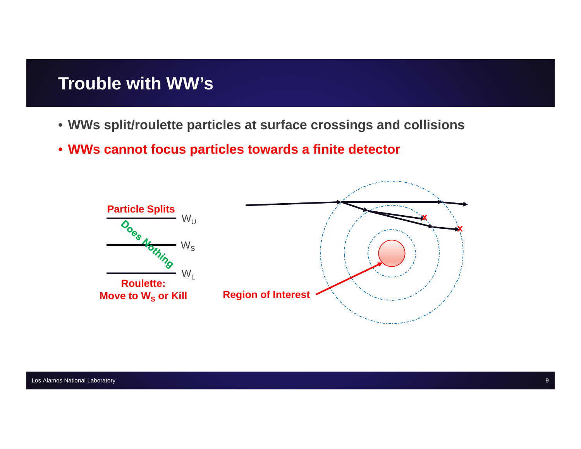### **Trouble with WW's**

- **WWs split/roulette particles at surface crossings and collisions**
- **WWs cannot focus particles towards a finite detector**

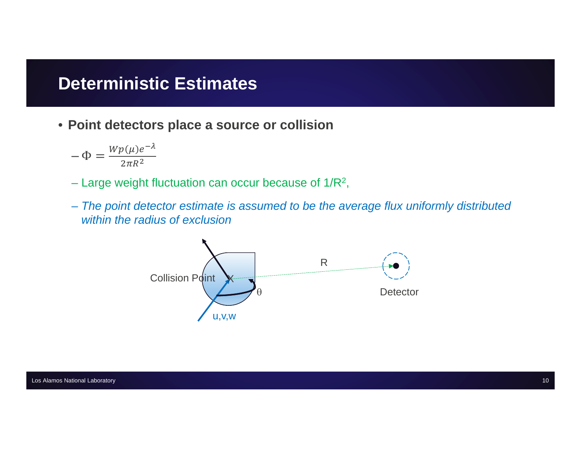### **Deterministic Estimates**

• Point detectors place a source or collision

$$
-\Phi = \frac{Wp(\mu)e^{-\lambda}}{2\pi R^2}
$$

- Large weight fluctuation can occur because of  $1/R^2$ ,
- The point detector estimate is assumed to be the average flux uniformly distributed within the radius of exclusion

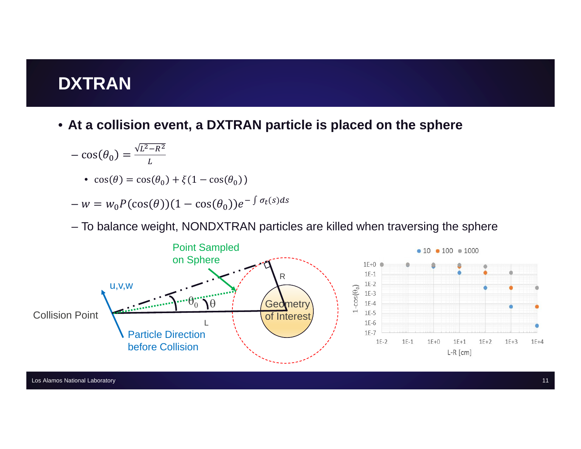# **DXTRAN**

• At a collision event, a DXTRAN particle is placed on the sphere

$$
-\cos(\theta_0) = \frac{\sqrt{L^2 - R^2}}{L}
$$

• 
$$
\cos(\theta) = \cos(\theta_0) + \xi(1 - \cos(\theta_0))
$$

$$
-w = w_0 P(\cos(\theta))(1 - \cos(\theta_0))e^{-\int \sigma_t(s)ds}
$$

- To balance weight, NONDXTRAN particles are killed when traversing the sphere

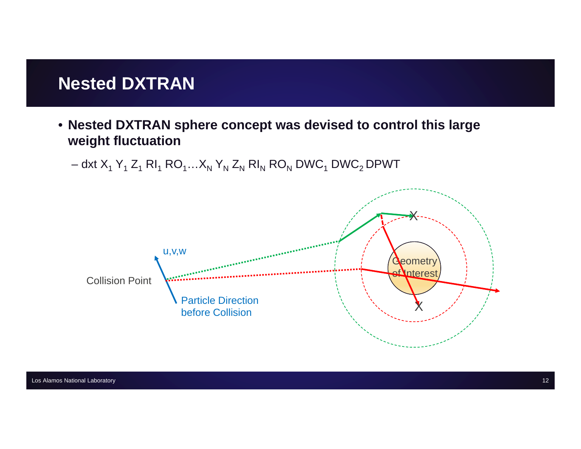### **Nested DXTRAN**

- **Nested DXTRAN sphere concept was devised to control this large weight fluctuation**
	- dxt X $_1$  Y $_1$  Z $_1$  RI $_1$  RO $_1$ …X $_{\sf N}$  Y $_{\sf N}$  Z $_{\sf N}$  RI $_{\sf N}$  RO $_{\sf N}$  DWC $_1$  DWC $_2$  DPWT

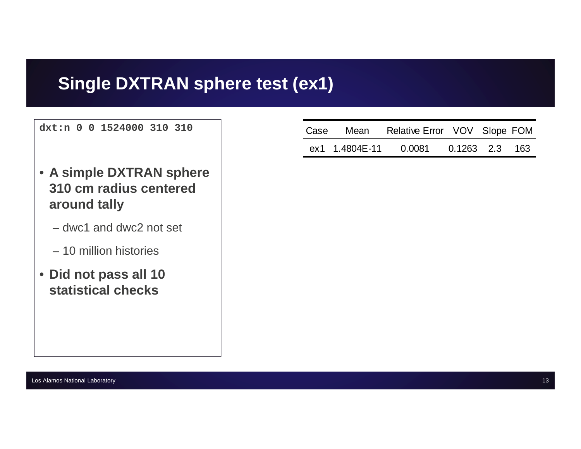# **Single DXTRAN sphere test (ex1)**

**dxt:n 0 0 1524000 310 310**

- **A simple DXTRAN sphere 310 cm radius centered around tally**
	- dwc1 and dwc2 not set
	- 10 million histories
- **Did not pass all 10 statistical checks**

|                 | Case Mean Relative Error VOV Slope FOM |  |  |
|-----------------|----------------------------------------|--|--|
| ex1  1.4804E-11 | 0.0081  0.1263  2.3  163               |  |  |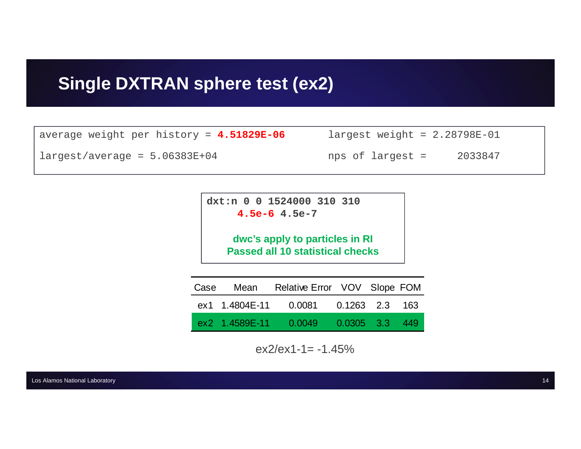# **Single DXTRAN sphere test (ex2)**

| average weight per history = 4.51829E-06        | $largest weight = 2.28798E-01$ |  |
|-------------------------------------------------|--------------------------------|--|
| $l \text{largest}/\text{average} = 5.06383E+04$ | 2033847<br>nps of largest =    |  |

**dxt:n 0 0 1524000 310 310 4.5e-6 4.5e-7**

> **dwc's apply to particles in RI Passed all 10 statistical checks**

| Case |                 | Mean Relative Error VOV Slope FOM |                  |  |
|------|-----------------|-----------------------------------|------------------|--|
|      | ex1  1.4804E-11 | 0.0081                            | 0.1263 2.3 163   |  |
|      | ex2 1.4589E-11  | 0.0049                            | $0.0305$ 3.3 449 |  |

 $ex2/ex1-1 = -1.45%$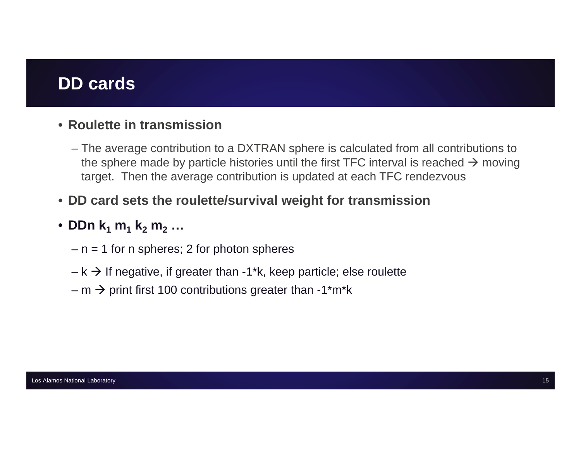# **DD cards**

#### • **Roulette in transmission**

– The average contribution to a DXTRAN sphere is calculated from all contributions to the sphere made by particle histories until the first TFC interval is reached  $\rightarrow$  moving target. Then the average contribution is updated at each TFC rendezvous

#### • **DD card sets the roulette/survival weight for transmission**

#### • **DDn k1 m1 k2 m2 …**

- n = 1 for n spheres; 2 for photon spheres
- $-$  k  $\rightarrow$  If negative, if greater than -1\*k, keep particle; else roulette
- m  $\rightarrow$  print first 100 contributions greater than -1\*m\*k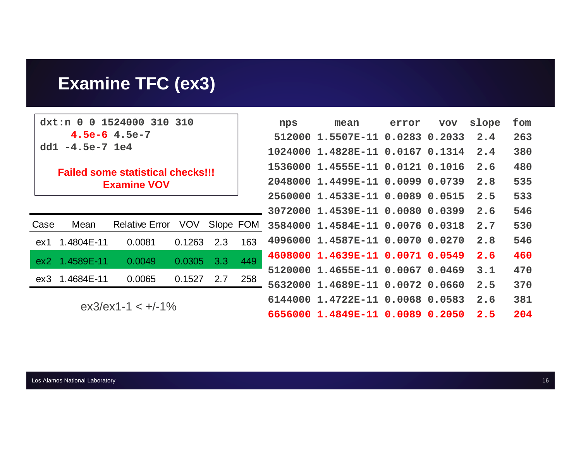# **Examine TFC (ex3)**

**dxt:n 0 0 1524000 310 310 4.5e-6 4.5e-7 dd1 -4.5e-7 1e4**

#### **Failed some statistical checks!!!Examine VOV**

| Case | Mean           | Relative Error VOV Slope FOM |                  |     |
|------|----------------|------------------------------|------------------|-----|
|      | ex1 1.4804E-11 | 0.0081                       |                  | 163 |
|      | ex2 1.4589E-11 | 0.0049                       | 0.0305 3.3 449   |     |
|      | ex3 1.4684E-11 | 0.0065                       | $0.1527$ 2.7 258 |     |
|      |                |                              |                  |     |

ex3/ex1-1 <  $+/-1\%$ 

| nps       | mean                             | error | VOV | slope | fom |
|-----------|----------------------------------|-------|-----|-------|-----|
| 512000    | 1.5507E-11 0.0283 0.2033 2.4     |       |     |       | 263 |
|           | 1024000 1.4828E-11 0.0167 0.1314 |       |     | 2.4   | 380 |
|           | 1536000 1.4555E-11 0.0121 0.1016 |       |     | 2.6   | 480 |
|           | 2048000 1.4499E-11 0.0099 0.0739 |       |     | 2.8   | 535 |
|           | 2560000 1.4533E-11 0.0089 0.0515 |       |     | 2.5   | 533 |
|           | 3072000 1.4539E-11 0.0080 0.0399 |       |     | 2.6   | 546 |
|           | 3584000 1.4584E-11 0.0076 0.0318 |       |     | 2.7   | 530 |
|           | 4096000 1.4587E-11 0.0070 0.0270 |       |     | 2.8   | 546 |
|           | 4608000 1.4639E-11 0.0071 0.0549 |       |     | 2.6   | 460 |
|           | 5120000 1.4655E-11 0.0067 0.0469 |       |     | 3.1   | 470 |
| - 5632000 | 1.4689E-11 0.0072 0.0660         |       |     | 2.5   | 370 |
|           | 6144000 1.4722E-11 0.0068 0.0583 |       |     | 2.6   | 381 |
|           | 6656000 1.4849E-11 0.0089 0.2050 |       |     | 2.5   | 204 |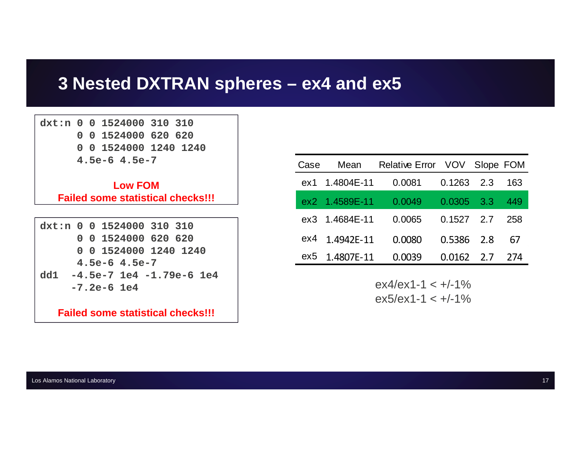# **3 Nested DXTRAN spheres – ex4 and ex5**

**dxt:n 0 0 1524000 310 310 0 0 1524000 620 620 0 0 1524000 1240 1240 4.5e-6 4.5e-7**

> **Low FOMFailed some statistical checks!!!**

|  |  |                   | $dx$ t:n 0 0 1524000 310 310     |  |
|--|--|-------------------|----------------------------------|--|
|  |  |                   | 0 0 1524000 620 620              |  |
|  |  |                   | 0 0 1524000 1240 1240            |  |
|  |  | $4.5e-6$ $4.5e-7$ |                                  |  |
|  |  |                   | dd1 $-4.5e-7$ 1e4 $-1.79e-6$ 1e4 |  |
|  |  | $-7.2e-6 1e4$     |                                  |  |
|  |  |                   |                                  |  |

**Failed some statistical checks!!!**

| Case | Mean           | Relative Error VOV Slope FOM |              |     |
|------|----------------|------------------------------|--------------|-----|
|      | ex1 1.4804E-11 | 0.0081                       | $0.1263$ 2.3 | 163 |
|      | ex2 1.4589E-11 | 0.0049                       | $0.0305$ 3.3 | 449 |
|      | ex3 1.4684E-11 | 0.0065                       | $0.1527$ 2.7 | 258 |
| ex4  | 1.4942E-11     | 0.0080                       | $0.5386$ 2.8 | 67  |
| ex5  | 1.4807E-11     | 0.0039                       | $0.0162$ 2.7 | 274 |

 $ex4/ex1-1 < +/-1\%$  $ex5/ex1-1 < +/-1\%$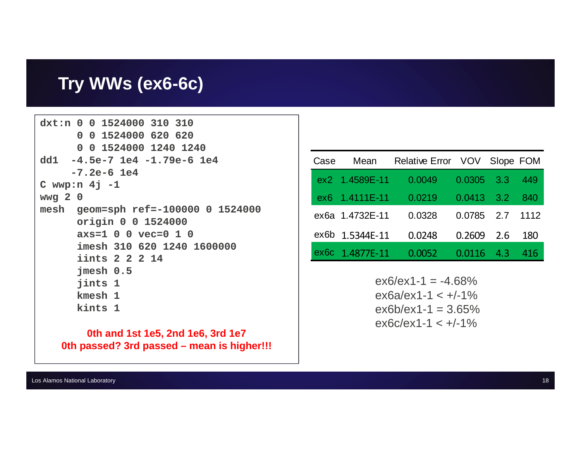### Try WWs (ex6-6c)

```
dxt:n 0 0 1524000 310 310
      0 0 1524000 620 620
      0 0 1524000 1240 1240
dd1 - 4.5e-7 1e4 - 1.79e-6 1e4-7.2e-6 1e4C wwp:n 4j -1wwg 2 0
mesh geom=sph ref = -100000 0 1524000
      origin 0 0 1524000
      axs=1 0 0 vec=0 1 0
      imesh 310 620 1240 1600000
      iints 2 2 2 14
      jmesh 0.5jints 1
      kmesh 1
      kints 1
```
0th and 1st 1e5, 2nd 1e6, 3rd 1e7 0th passed? 3rd passed - mean is higher!!!

| Case | Mean            | Relative Error VOV Slope FOM |              |     |      |
|------|-----------------|------------------------------|--------------|-----|------|
|      | ex2 1.4589E-11  | 0.0049                       | $0.0305$ 3.3 |     | 449  |
|      | ex6 1.4111E-11  | 0.0219                       | $0.0413$ 3.2 |     | 840  |
|      | ex6a 1.4732E-11 | 0.0328                       | $0.0785$ 2.7 |     | 1112 |
|      | ex6b 1.5344E-11 | 0.0248                       | 0.2609       | 2.6 | 180  |
| ex6c | 1.4877E-11      | 0.0052                       | 0.0116       | 4.3 | 416  |

 $ex6/ex1-1 = -4.68%$  $ex6a/ex1-1 < +/-1\%$  $ex6b/ex1-1 = 3.65%$  $ex6c-ex1-1 < +/-1\%$ 

Los Alamos National Laboratory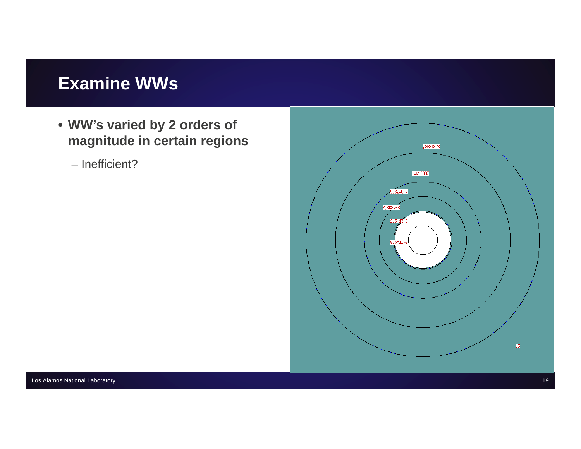# **Examine WWs**

- **WW's varied by 2 orders of magnitude in certain regions**
	- Inefficient?

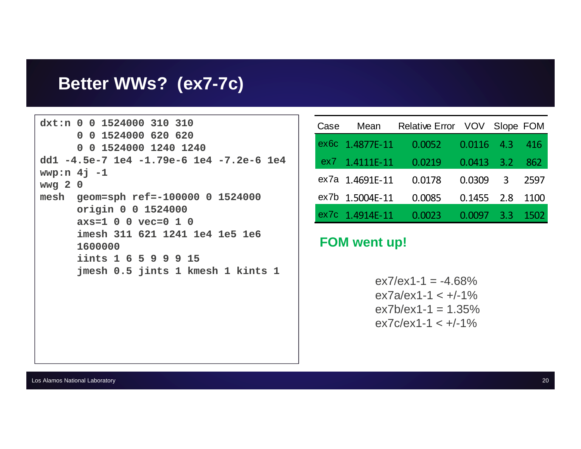### Better WWs? (ex7-7c)

```
dxt:n 0 0 1524000 310 310
      0 0 1524000 620 620
      0 0 1524000 1240 1240
dd1 -4.5e-7 1e4 -1.79e-6 1e4 -7.2e-6 1e4
wwp:n 4j -1wwg 2 0
mesh geom=sph ref=-100000 0 1524000
      origin 0 0 1524000
      axs=1 0 0 vec=0 1 0
      imesh 311 621 1241 1e4 1e5 1e6
      1600000
      iints 1 6 5 9 9 9 15
      jmesh 0.5 jints 1 kmesh 1 kints 1
```

| Case | Mean            | Relative Error VOV Slope FOM |              |                  |      |
|------|-----------------|------------------------------|--------------|------------------|------|
|      | ex6c 1.4877E-11 | 0.0052                       | $0.0116$ 4.3 |                  | 416  |
|      | ex7 1.4111E-11  | 0.0219                       | $0.0413$ 3.2 |                  | 862  |
|      | ex7a 1.4691E-11 | 0.0178                       | 0.0309       | $\mathbf{3}$     | 2597 |
|      | ex7b 1.5004E-11 | 0.0085                       | $0.1455$ 2.8 |                  | 1100 |
|      | ex7c 1.4914E-11 | 0.0023                       | 0.0097       | $\overline{3.3}$ | 1502 |

#### **FOM went up!**

 $ex7/ex1-1 = -4.68%$  $ex7a/ex1-1 < +/-1\%$  $ex7b/ex1-1 = 1.35%$  $\frac{e \times 7c}{e \times 1 - 1}$  <  $\frac{+}{120}$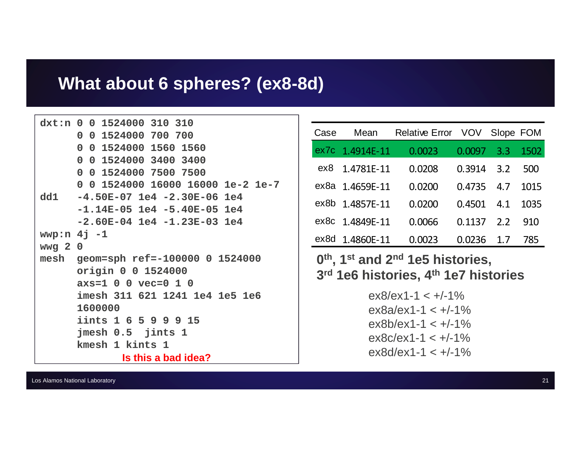#### What about 6 spheres? (ex8-8d)

```
dxt:n 0 0 1524000 310 310
      0 0 1524000 700 700
      0 0 1524000 1560 1560
      0 0 1524000 3400 3400
      0 0 1524000 7500 7500
      0 0 1524000 16000 16000 1e-2 1e-7
      -4.50E-07 1e4 -2.30E-06 1e4
d<sub>d1</sub>-1.14E-05 1e4 -5.40E-05 1e4-2.60E-04 1e4 -1.23E-03 1e4wwp:n 4j -1wwg 2 0
mesh geom=sph ref=-100000 0 1524000
      origin 0 0 1524000
      axs=1 0 0 vec=0 1 0
      imesh 311 621 1241 1e4 1e5 1e6
      1600000
      iints 1 6 5 9 9 9 15
      jmesh 0.5 jints 1
      kmesh 1 kints 1
              Is this a bad idea?
```

| Case | Mean            | Relative Error VOV |              | Slope FOM |      |
|------|-----------------|--------------------|--------------|-----------|------|
|      | ex7c 1.4914E-11 | 0.0023             | 0.0097       | 3.3       | 1502 |
| ex8  | 1.4781E-11      | 0.0208             | 0.3914       | 3.2       | 500  |
|      | ex8a 1.4659E-11 | 0.0200             | 0.4735       | 4.7       | 1015 |
|      | ex8b 1.4857E-11 | 0.0200             | $0.4501$ 4.1 |           | 1035 |
|      | ex8c 1.4849E-11 | 0.0066             | 0.1137       | 2.2       | 910  |
| ex8d | 1.4860E-11      | .0023              | 0.0236       | 1.7       | 785  |

#### $0<sup>th</sup>$ , 1<sup>st</sup> and 2<sup>nd</sup> 1e5 histories. 3rd 1e6 histories, 4th 1e7 histories

 $ex8/ex1-1 < +/-1\%$  $ex8a/ex1-1 < +/-1\%$  $ex8b/ex1-1 < +/-1\%$  $ex8c/ex1-1 < +/-1\%$  $ex8d/ex1-1 < +/-1\%$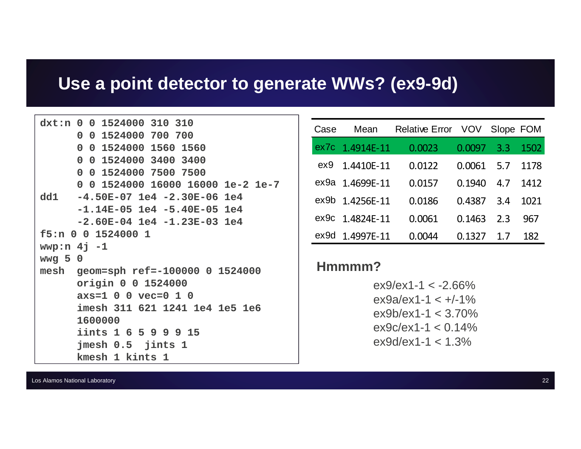# Use a point detector to generate WWs? (ex9-9d)

|         | dxt:n 0 0 1524000 310 310           |
|---------|-------------------------------------|
|         | 0 0 1524000 700 700                 |
|         | 0 0 1524000 1560 1560               |
|         | 0 0 1524000 3400 3400               |
|         | 0 0 1524000 7500 7500               |
|         | 0 0 1524000 16000 16000 1e-2 1e-7   |
|         | dd1 -4.50E-07 1e4 -2.30E-06 1e4     |
|         | $-1.14E-05$ 1e4 $-5.40E-05$ 1e4     |
|         | $-2.60E-04$ 1e4 $-1.23E-03$ 1e4     |
|         | f5:n 0 0 1524000 1                  |
|         | wwp:n $4j -1$                       |
| wwg 5 0 |                                     |
|         | mesh geom=sph ref=-100000 0 1524000 |
|         | origin 0 0 1524000                  |
|         | $axs=1$ 0 0 $vec=0$ 1 0             |
|         | imesh 311 621 1241 1e4 1e5 1e6      |
|         | 1600000                             |
|         | iints 1 6 5 9 9 9 15                |
|         | jmesh 0.5 jints 1                   |
|         | kmesh 1 kints 1                     |

| Case | Mean            | <b>Relative Error</b> VOV |        | Slope FOM |      |
|------|-----------------|---------------------------|--------|-----------|------|
| ex7c | 1.4914E-11      | 0.0023                    | 0.0097 | 3.3       | 1502 |
| ex9  | 1.4410E-11      | 0.0122                    | 0.0061 | 5.7       | 1178 |
|      | ex9a 1.4699E-11 | 0.0157                    | 0.1940 | 4.7       | 1412 |
|      | ex9b 1.4256E-11 | 0.0186                    | 0.4387 | 3.4       | 1021 |
|      | ex9c 1.4824E-11 | 0.0061                    | 0.1463 | 2.3       | 967  |
| ex9d | 1.4997E-11      | .0044                     | 0.1327 | 17        | 182  |

#### Hmmmm?

 $ex9/ex1-1 < -2.66\%$  $ex9a/ex1-1 < +/-1\%$  $ex9b/ex1-1 < 3.70\%$  $ex9c-ex1-1 < 0.14\%$  $ex9d/ex1-1 < 1.3\%$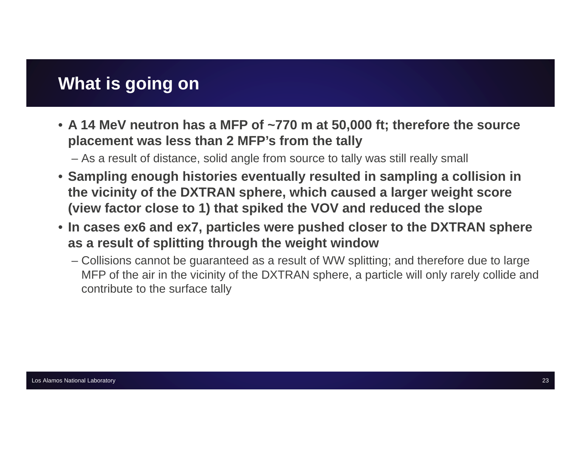# **What is going on**

• **A 14 MeV neutron has a MFP of ~770 m at 50,000 ft; therefore the source placement was less than 2 MFP's from the tally**

– As a result of distance, solid angle from source to tally was still really small

- **Sampling enough histories eventually resulted in sampling a collision in the vicinity of the DXTRAN sphere, which caused a larger weight score (view factor close to 1) that spiked the VOV and reduced the slope**
- **In cases ex6 and ex7, particles were pushed closer to the DXTRAN sphere as a result of splitting through the weight window** 
	- Collisions cannot be guaranteed as a result of WW splitting; and therefore due to large MFP of the air in the vicinity of the DXTRAN sphere, a particle will only rarely collide and contribute to the surface tally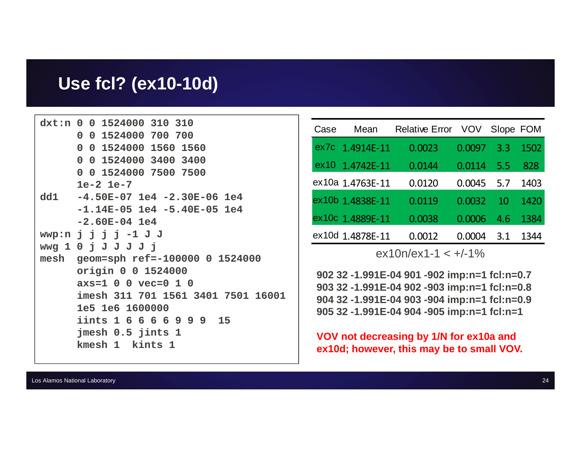#### Use fcl? (ex10-10d)

```
dxt:n 0 0 1524000 310 310
      0 0 1524000 700 700
      0 0 1524000 1560 1560
      0 0 1524000 3400 3400
      0 0 1524000 7500 7500
      1e-2 1e-7-4.50E-07 1e4 -2.30E-06 1e4
d<sub>d1</sub>-1.14E-05 1e4 -5.40E-05 1e4-2.60E-04 1e4
wwp:n j j j j -1 J Jwwg 1 0 j J J J j jmesh geom=sph ref=-100000 0 1524000
      origin 0 0 1524000
      axs=1 0 0 vec=0 1 0
      imesh 311 701 1561 3401 7501 16001
      1e5 1e6 1600000
      iints 1 6 6 6 6 9 9 9 15
      jmesh 0.5 jints 1
      kmesh 1 kints 1
```

| Case | Mean             | <b>Relative Error</b> | <b>VOV</b> | Slope FOM |      |
|------|------------------|-----------------------|------------|-----------|------|
|      | ex7c 1.4914E-11  | 0.0023                | 0.0097     | 3.3       | 1502 |
| ex10 | 1.4742E-11       | 0.0144                | 0.0114     | 5.5       | 828  |
|      | ex10a 1.4763E-11 | 0.0120                | 0.0045     | 5.7       | 1403 |
|      | ex10b 1.4838E-11 | 0.0119                | 0.0032     | 10        | 1420 |
|      | ex10c 1.4889E-11 | 0.0038                | 0.0006     | 4.6       | 1384 |
|      | ex10d 1.4878E-11 | 0.0012                | (1.001)4   | 3.1       | 1344 |

 $ex10n/ex1-1 < +/-1\%$ 

902 32 -1.991E-04 901 -902 imp:n=1 fcl:n=0.7 903 32 -1.991E-04 902 -903 imp:n=1 fcl:n=0.8 904 32 -1.991E-04 903 -904 imp:n=1 fcl:n=0.9 905 32 -1.991E-04 904 -905 imp:n=1 fcl:n=1

VOV not decreasing by 1/N for ex10a and ex10d; however, this may be to small VOV.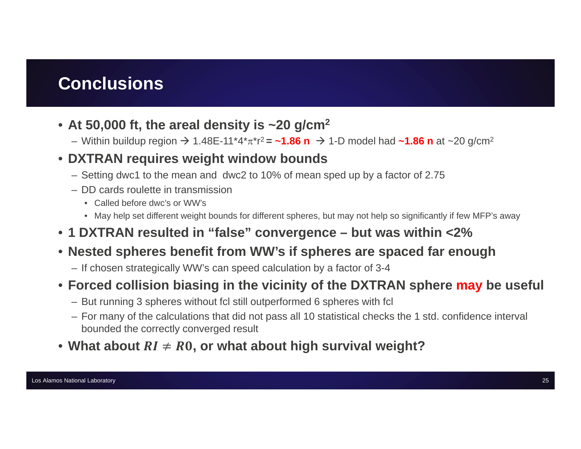# **Conclusions**

- **At 50,000 ft, the areal density is ~20 g/cm2**
	- Within buildup region → 1.48E-11\*4\*π\*r<sup>2</sup> **= ~1.86 n** → 1-D model had **~1.86 n** at ~20 g/cm<sup>2</sup>

#### • **DXTRAN requires weight window bounds**

- Setting dwc1 to the mean and dwc2 to 10% of mean sped up by a factor of 2.75
- DD cards roulette in transmission
	- Called before dwc's or WW's
	- May help set different weight bounds for different spheres, but may not help so significantly if few MFP's away
- **1 DXTRAN resulted in "false" convergence – but was within <2%**

#### • **Nested spheres benefit from WW's if spheres are spaced far enough**

– If chosen strategically WW's can speed calculation by a factor of 3-4

#### • **Forced collision biasing in the vicinity of the DXTRAN sphere may be useful**

- But running 3 spheres without fcl still outperformed 6 spheres with fcl
- For many of the calculations that did not pass all 10 statistical checks the 1 std. confidence interval bounded the correctly converged result
- What about  $\mathbf{R}\mathbf{I} \neq \mathbf{R}\mathbf{0}$ , or what about high survival weight?